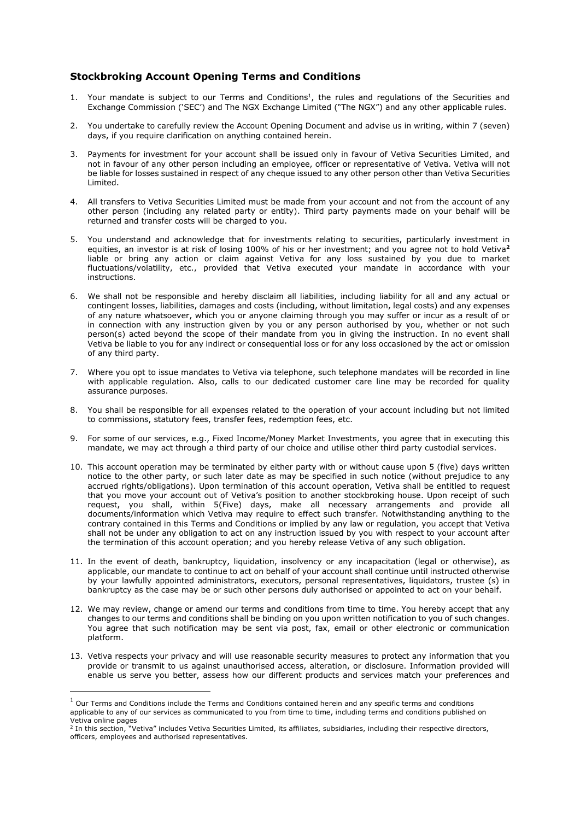## **Stockbroking Account Opening Terms and Conditions**

- 1. Your mandate is subject to our Terms and Conditions<sup>1</sup>, the rules and regulations of the Securities and Exchange Commission ('SEC') and The NGX Exchange Limited ("The NGX") and any other applicable rules.
- 2. You undertake to carefully review the Account Opening Document and advise us in writing, within 7 (seven) days, if you require clarification on anything contained herein.
- 3. Payments for investment for your account shall be issued only in favour of Vetiva Securities Limited, and not in favour of any other person including an employee, officer or representative of Vetiva. Vetiva will not be liable for losses sustained in respect of any cheque issued to any other person other than Vetiva Securities Limited.
- 4. All transfers to Vetiva Securities Limited must be made from your account and not from the account of any other person (including any related party or entity). Third party payments made on your behalf will be returned and transfer costs will be charged to you.
- 5. You understand and acknowledge that for investments relating to securities, particularly investment in equities, an investor is at risk of losing 100% of his or her investment; and you agree not to hold Vetiva**<sup>2</sup>** liable or bring any action or claim against Vetiva for any loss sustained by you due to market fluctuations/volatility, etc., provided that Vetiva executed your mandate in accordance with your instructions.
- 6. We shall not be responsible and hereby disclaim all liabilities, including liability for all and any actual or contingent losses, liabilities, damages and costs (including, without limitation, legal costs) and any expenses of any nature whatsoever, which you or anyone claiming through you may suffer or incur as a result of or in connection with any instruction given by you or any person authorised by you, whether or not such person(s) acted beyond the scope of their mandate from you in giving the instruction. In no event shall Vetiva be liable to you for any indirect or consequential loss or for any loss occasioned by the act or omission of any third party.
- 7. Where you opt to issue mandates to Vetiva via telephone, such telephone mandates will be recorded in line with applicable regulation. Also, calls to our dedicated customer care line may be recorded for quality assurance purposes.
- 8. You shall be responsible for all expenses related to the operation of your account including but not limited to commissions, statutory fees, transfer fees, redemption fees, etc.
- 9. For some of our services, e.g., Fixed Income/Money Market Investments, you agree that in executing this mandate, we may act through a third party of our choice and utilise other third party custodial services.
- 10. This account operation may be terminated by either party with or without cause upon 5 (five) days written notice to the other party, or such later date as may be specified in such notice (without prejudice to any accrued rights/obligations). Upon termination of this account operation, Vetiva shall be entitled to request that you move your account out of Vetiva's position to another stockbroking house. Upon receipt of such request, you shall, within 5(Five) days, make all necessary arrangements and provide all documents/information which Vetiva may require to effect such transfer. Notwithstanding anything to the contrary contained in this Terms and Conditions or implied by any law or regulation, you accept that Vetiva shall not be under any obligation to act on any instruction issued by you with respect to your account after the termination of this account operation; and you hereby release Vetiva of any such obligation.
- 11. In the event of death, bankruptcy, liquidation, insolvency or any incapacitation (legal or otherwise), as applicable, our mandate to continue to act on behalf of your account shall continue until instructed otherwise by your lawfully appointed administrators, executors, personal representatives, liquidators, trustee (s) in bankruptcy as the case may be or such other persons duly authorised or appointed to act on your behalf.
- 12. We may review, change or amend our terms and conditions from time to time. You hereby accept that any changes to our terms and conditions shall be binding on you upon written notification to you of such changes. You agree that such notification may be sent via post, fax, email or other electronic or communication platform.
- 13. Vetiva respects your privacy and will use reasonable security measures to protect any information that you provide or transmit to us against unauthorised access, alteration, or disclosure. Information provided will enable us serve you better, assess how our different products and services match your preferences and

 $<sup>1</sup>$  Our Terms and Conditions include the Terms and Conditions contained herein and any specific terms and conditions</sup> applicable to any of our services as communicated to you from time to time, including terms and conditions published on Vetiva online pages

<sup>&</sup>lt;sup>2</sup> In this section, "Vetiva" includes Vetiva Securities Limited, its affiliates, subsidiaries, including their respective directors, officers, employees and authorised representatives.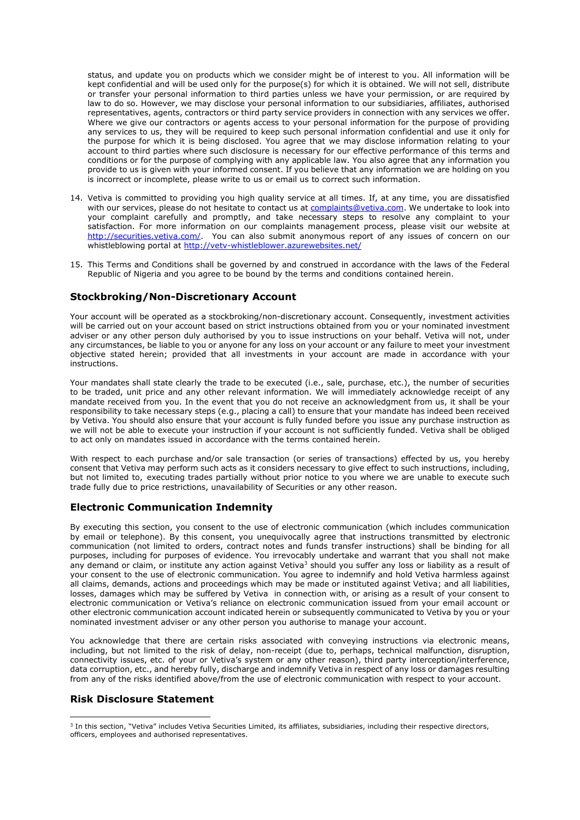status, and update you on products which we consider might be of interest to you. All information will be kept confidential and will be used only for the purpose(s) for which it is obtained. We will not sell, distribute or transfer your personal information to third parties unless we have your permission, or are required by law to do so. However, we may disclose your personal information to our subsidiaries, affiliates, authorised representatives, agents, contractors or third party service providers in connection with any services we offer. Where we give our contractors or agents access to your personal information for the purpose of providing any services to us, they will be required to keep such personal information confidential and use it only for the purpose for which it is being disclosed. You agree that we may disclose information relating to your account to third parties where such disclosure is necessary for our effective performance of this terms and conditions or for the purpose of complying with any applicable law. You also agree that any information you provide to us is given with your informed consent. If you believe that any information we are holding on you is incorrect or incomplete, please write to us or email us to correct such information.

- 14. Vetiva is committed to providing you high quality service at all times. If, at any time, you are dissatisfied with our services, please do not hesitate to contact us at [complaints@vetiva.com.](mailto:complaints@vetiva.com) We undertake to look into your complaint carefully and promptly, and take necessary steps to resolve any complaint to your satisfaction. For more information on our complaints management process, please visit our website at [http://securities.vetiva.com/.](http://securities.vetiva.com/) You can also submit anonymous report of any issues of concern on our whistleblowing portal a[t http://vetv-whistleblower.azurewebsites.net/](http://vetv-whistleblower.azurewebsites.net/)
- 15. This Terms and Conditions shall be governed by and construed in accordance with the laws of the Federal Republic of Nigeria and you agree to be bound by the terms and conditions contained herein.

## **Stockbroking/Non-Discretionary Account**

Your account will be operated as a stockbroking/non-discretionary account. Consequently, investment activities will be carried out on your account based on strict instructions obtained from you or your nominated investment adviser or any other person duly authorised by you to issue instructions on your behalf. Vetiva will not, under any circumstances, be liable to you or anyone for any loss on your account or any failure to meet your investment objective stated herein; provided that all investments in your account are made in accordance with your instructions.

Your mandates shall state clearly the trade to be executed (i.e., sale, purchase, etc.), the number of securities to be traded, unit price and any other relevant information. We will immediately acknowledge receipt of any mandate received from you. In the event that you do not receive an acknowledgment from us, it shall be your responsibility to take necessary steps (e.g., placing a call) to ensure that your mandate has indeed been received by Vetiva. You should also ensure that your account is fully funded before you issue any purchase instruction as we will not be able to execute your instruction if your account is not sufficiently funded. Vetiva shall be obliged to act only on mandates issued in accordance with the terms contained herein.

With respect to each purchase and/or sale transaction (or series of transactions) effected by us, you hereby consent that Vetiva may perform such acts as it considers necessary to give effect to such instructions, including, but not limited to, executing trades partially without prior notice to you where we are unable to execute such trade fully due to price restrictions, unavailability of Securities or any other reason.

## **Electronic Communication Indemnity**

By executing this section, you consent to the use of electronic communication (which includes communication by email or telephone). By this consent, you unequivocally agree that instructions transmitted by electronic communication (not limited to orders, contract notes and funds transfer instructions) shall be binding for all purposes, including for purposes of evidence. You irrevocably undertake and warrant that you shall not make any demand or claim, or institute any action against Vetiva<sup>3</sup> should you suffer any loss or liability as a result of your consent to the use of electronic communication. You agree to indemnify and hold Vetiva harmless against all claims, demands, actions and proceedings which may be made or instituted against Vetiva; and all liabilities, losses, damages which may be suffered by Vetiva in connection with, or arising as a result of your consent to electronic communication or Vetiva's reliance on electronic communication issued from your email account or other electronic communication account indicated herein or subsequently communicated to Vetiva by you or your nominated investment adviser or any other person you authorise to manage your account.

You acknowledge that there are certain risks associated with conveying instructions via electronic means, including, but not limited to the risk of delay, non-receipt (due to, perhaps, technical malfunction, disruption, connectivity issues, etc. of your or Vetiva's system or any other reason), third party interception/interference, data corruption, etc., and hereby fully, discharge and indemnify Vetiva in respect of any loss or damages resulting from any of the risks identified above/from the use of electronic communication with respect to your account.

## **Risk Disclosure Statement**

<sup>&</sup>lt;sup>3</sup> In this section, "Vetiva" includes Vetiva Securities Limited, its affiliates, subsidiaries, including their respective directors, officers, employees and authorised representatives.